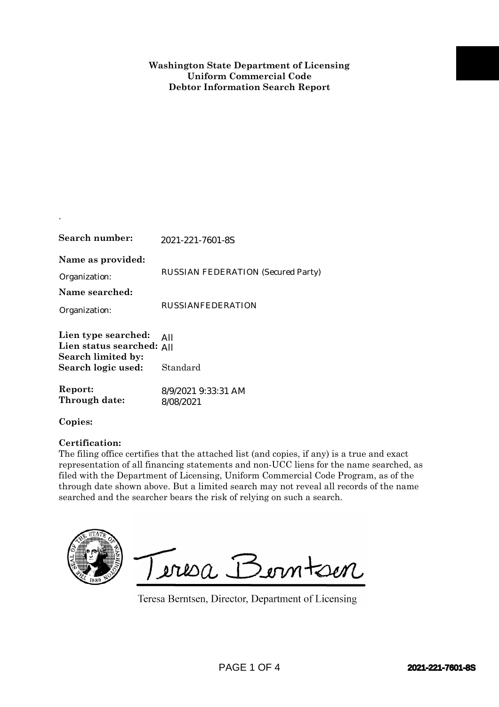| Search number:                                                         | 2021-221-7601-8S                                                                                                                                                                                                                                                                                                                                                                                                                              |  |
|------------------------------------------------------------------------|-----------------------------------------------------------------------------------------------------------------------------------------------------------------------------------------------------------------------------------------------------------------------------------------------------------------------------------------------------------------------------------------------------------------------------------------------|--|
| Name as provided:<br>Organization:                                     | <b>RUSSIAN FEDERATION (Secured Party)</b>                                                                                                                                                                                                                                                                                                                                                                                                     |  |
| Name searched:<br>Organization:                                        | <b>RUSSIANFEDERATION</b>                                                                                                                                                                                                                                                                                                                                                                                                                      |  |
| Lien type searched:<br>Lien status searched: All<br>Search limited by: | All                                                                                                                                                                                                                                                                                                                                                                                                                                           |  |
| Search logic used:                                                     | Standard                                                                                                                                                                                                                                                                                                                                                                                                                                      |  |
| Report:<br>Through date:                                               | 8/9/2021 9:33:31 AM<br>8/08/2021                                                                                                                                                                                                                                                                                                                                                                                                              |  |
| Copies:                                                                |                                                                                                                                                                                                                                                                                                                                                                                                                                               |  |
| Certification:                                                         | The filing office certifies that the attached list (and copies, if any) is a true and exact<br>representation of all financing statements and non-UCC liens for the name searched, as<br>filed with the Department of Licensing, Uniform Commercial Code Program, as of the<br>through date shown above. But a limited search may not reveal all records of the name<br>searched and the searcher bears the risk of relying on such a search. |  |
|                                                                        | Teresa Berntsen<br>Teresa Berntsen, Director, Department of Licensing                                                                                                                                                                                                                                                                                                                                                                         |  |
|                                                                        | PAGE 1 OF 4<br>2021-221-7601-8S                                                                                                                                                                                                                                                                                                                                                                                                               |  |

.

## **Certification:**

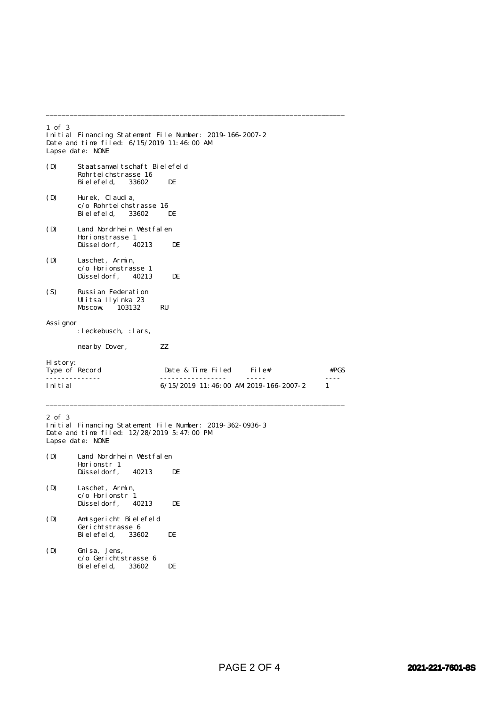1 of 3 Initial Financing Statement File Number: 2019-166-2007-2 Date and time filed: 6/15/2019 11:46:00 AM Lapse date: NONE (D) Staatsanwaltschaft Bielefeld Rohrteichstrasse 16<br>Bielefeld. 33602 Bielefeld, 33602 DE (D) Hurek, Claudia, c/o Rohrteichstrasse 16 Bielefeld, 33602 DE (D) Land Nordrhein Westfalen Horionstrasse 1<br>Düsseldorf. 40213 Düsseldorf, 40213 DE (D) Laschet, Armin, c/o Horionstrasse 1<br>Düsseldorf. 40213 Düsseldorf, 40213 DE (S) Russian Federation Ulitsa Ilyinka 23<br>Moscow. 103132 Moscow. 103132 RU Assignor :leckebusch, :lars, nearby Dover, ZZ History: Date & Time Filed File# #PGS -------------- ----------------- ----- ---- Initial 6/15/2019 11:46:00 AM 2019-166-2007-2 1

\_\_\_\_\_\_\_\_\_\_\_\_\_\_\_\_\_\_\_\_\_\_\_\_\_\_\_\_\_\_\_\_\_\_\_\_\_\_\_\_\_\_\_\_\_\_\_\_\_\_\_\_\_\_\_\_\_\_\_\_\_\_\_\_\_\_\_\_\_\_\_\_\_\_\_\_

\_\_\_\_\_\_\_\_\_\_\_\_\_\_\_\_\_\_\_\_\_\_\_\_\_\_\_\_\_\_\_\_\_\_\_\_\_\_\_\_\_\_\_\_\_\_\_\_\_\_\_\_\_\_\_\_\_\_\_\_\_\_\_\_\_\_\_\_\_\_\_\_\_\_\_\_

2 of 3 Initial Financing Statement File Number: 2019-362-0936-3 Date and time filed: 12/28/2019 5:47:00 PM Lapse date: NONE

- (D) Land Nordrhein Westfalen Horionstr 1 Düsseldorf, 40213 DE
- (D) Laschet, Armin, c/o Horionstr 1 Düsseldorf, 40213 DE
- (D) Amtsgericht Bielefeld Gerichtstrasse 6<br>Bielefeld. 33602 Bielefeld, 33602 DE
- (D) Gnisa, Jens, c/o Gerichtstrasse 6<br>Bielefeld, 33602 Bielefeld, 33602 DE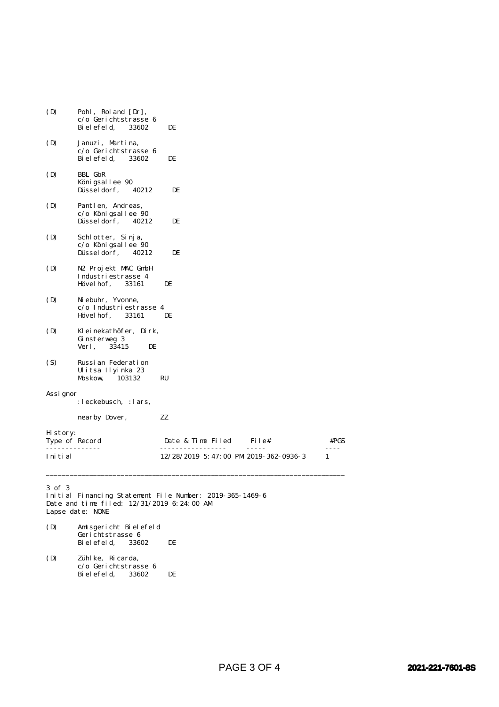| (D)                         | Pohl, Roland $[Dr]$ ,<br>c/o Gerichtstrasse 6<br>Bi el ef el d.<br>33602 | DE                                         |        |                      |
|-----------------------------|--------------------------------------------------------------------------|--------------------------------------------|--------|----------------------|
| (D)                         | Januzi, Martina,<br>c/o Gerichtstrasse 6<br>Bi el efel d,<br>33602       | DE                                         |        |                      |
| (D)                         | <b>BBL GbR</b><br>Königsallee 90<br>Düssel dorf,<br>40212                | DE                                         |        |                      |
| (D)                         | Pantlen, Andreas,<br>c/o Königsallee 90<br>Düssel dorf,<br>40212         | DE                                         |        |                      |
| (D)                         | Schlotter, Sinja,<br>c/o Königsallee 90<br>Düssel dorf,<br>40212         | DE                                         |        |                      |
| (D)                         | N2 Projekt MAC GmbH<br>Industriestrasse 4<br>Hövel hof,<br>33161         | DE                                         |        |                      |
| (D)                         | Ni ebuhr, Yvonne,<br>c/o Industriestrasse 4<br>Hövel hof,<br>33161       | DE                                         |        |                      |
| (D)                         | Kl ei nekathöfer, Dirk,<br>Ginsterweg 3<br>Verl,<br>33415<br>DE          |                                            |        |                      |
| (S)                         | Russian Federation<br>Ulitsa Ilyinka 23<br>103132<br>Moskow,             | RU                                         |        |                      |
| Assi gnor                   | :leckebusch,:lars,                                                       |                                            |        |                      |
|                             | nearby Dover,                                                            | ZZ                                         |        |                      |
| Hi story:<br>Type of Record |                                                                          | Date & Time Filed                          | File#  | #PGS                 |
| Initial                     |                                                                          | .<br>12/28/2019 5:47:00 PM 2019-362-0936-3 | $   -$ | ----<br>$\mathbf{1}$ |

\_\_\_\_\_\_\_\_\_\_\_\_\_\_\_\_\_\_\_\_\_\_\_\_\_\_\_\_\_\_\_\_\_\_\_\_\_\_\_\_\_\_\_\_\_\_\_\_\_\_\_\_\_\_\_\_\_\_\_\_\_\_\_\_\_\_\_\_\_\_\_\_\_\_\_\_

3 of 3

Initial Financing Statement File Number: 2019-365-1469-6 Date and time filed: 12/31/2019 6:24:00 AM Lapse date: NONE

- (D) Amtsgericht Bielefeld Gerichtstrasse 6 Bielefeld, 33602 DE
- (D) Zühlke, Ricarda, c/o Gerichtstrasse 6 Bielefeld, 33602 DE